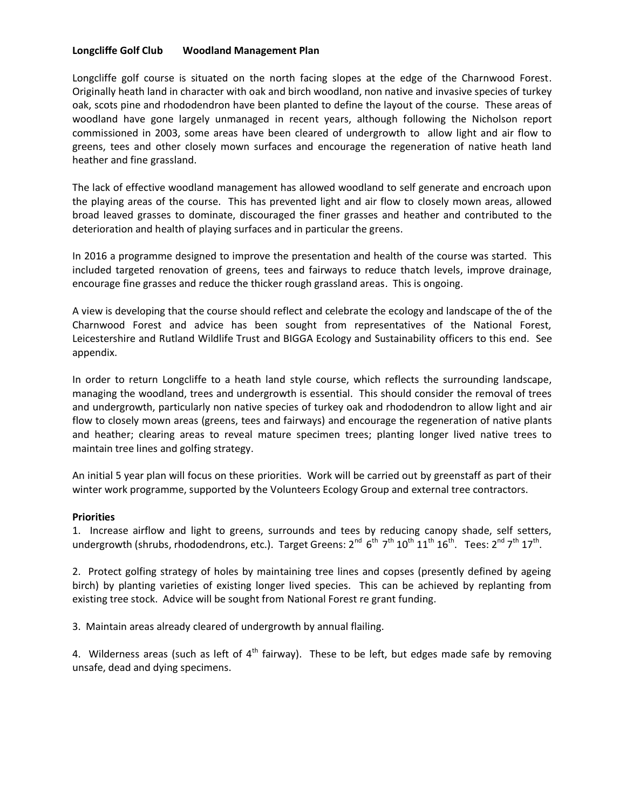### **Longcliffe Golf Club Woodland Management Plan**

Longcliffe golf course is situated on the north facing slopes at the edge of the Charnwood Forest. Originally heath land in character with oak and birch woodland, non native and invasive species of turkey oak, scots pine and rhododendron have been planted to define the layout of the course. These areas of woodland have gone largely unmanaged in recent years, although following the Nicholson report commissioned in 2003, some areas have been cleared of undergrowth to allow light and air flow to greens, tees and other closely mown surfaces and encourage the regeneration of native heath land heather and fine grassland.

The lack of effective woodland management has allowed woodland to self generate and encroach upon the playing areas of the course. This has prevented light and air flow to closely mown areas, allowed broad leaved grasses to dominate, discouraged the finer grasses and heather and contributed to the deterioration and health of playing surfaces and in particular the greens.

In 2016 a programme designed to improve the presentation and health of the course was started. This included targeted renovation of greens, tees and fairways to reduce thatch levels, improve drainage, encourage fine grasses and reduce the thicker rough grassland areas. This is ongoing.

A view is developing that the course should reflect and celebrate the ecology and landscape of the of the Charnwood Forest and advice has been sought from representatives of the National Forest, Leicestershire and Rutland Wildlife Trust and BIGGA Ecology and Sustainability officers to this end. See appendix.

In order to return Longcliffe to a heath land style course, which reflects the surrounding landscape, managing the woodland, trees and undergrowth is essential. This should consider the removal of trees and undergrowth, particularly non native species of turkey oak and rhododendron to allow light and air flow to closely mown areas (greens, tees and fairways) and encourage the regeneration of native plants and heather; clearing areas to reveal mature specimen trees; planting longer lived native trees to maintain tree lines and golfing strategy.

An initial 5 year plan will focus on these priorities. Work will be carried out by greenstaff as part of their winter work programme, supported by the Volunteers Ecology Group and external tree contractors.

#### **Priorities**

1. Increase airflow and light to greens, surrounds and tees by reducing canopy shade, self setters, undergrowth (shrubs, rhododendrons, etc.). Target Greens: 2<sup>nd</sup> 6<sup>th</sup> 7<sup>th</sup> 10<sup>th</sup> 11<sup>th</sup> 16<sup>th</sup>. Tees: 2<sup>nd</sup> 7<sup>th</sup> 17<sup>th</sup>.

2. Protect golfing strategy of holes by maintaining tree lines and copses (presently defined by ageing birch) by planting varieties of existing longer lived species. This can be achieved by replanting from existing tree stock. Advice will be sought from National Forest re grant funding.

3. Maintain areas already cleared of undergrowth by annual flailing.

4. Wilderness areas (such as left of  $4<sup>th</sup>$  fairway). These to be left, but edges made safe by removing unsafe, dead and dying specimens.